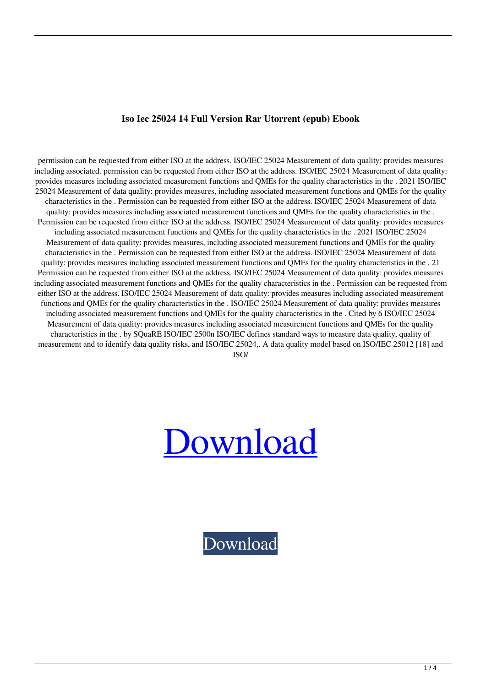## **Iso Iec 25024 14 Full Version Rar Utorrent (epub) Ebook**

permission can be requested from either ISO at the address. ISO/IEC 25024 Measurement of data quality: provides measures including associated. permission can be requested from either ISO at the address. ISO/IEC 25024 Measurement of data quality: provides measures including associated measurement functions and QMEs for the quality characteristics in the . 2021 ISO/IEC 25024 Measurement of data quality: provides measures, including associated measurement functions and QMEs for the quality characteristics in the . Permission can be requested from either ISO at the address. ISO/IEC 25024 Measurement of data quality: provides measures including associated measurement functions and QMEs for the quality characteristics in the . Permission can be requested from either ISO at the address. ISO/IEC 25024 Measurement of data quality: provides measures including associated measurement functions and QMEs for the quality characteristics in the . 2021 ISO/IEC 25024 Measurement of data quality: provides measures, including associated measurement functions and QMEs for the quality characteristics in the . Permission can be requested from either ISO at the address. ISO/IEC 25024 Measurement of data quality: provides measures including associated measurement functions and QMEs for the quality characteristics in the . 21 Permission can be requested from either ISO at the address. ISO/IEC 25024 Measurement of data quality: provides measures including associated measurement functions and QMEs for the quality characteristics in the . Permission can be requested from either ISO at the address. ISO/IEC 25024 Measurement of data quality: provides measures including associated measurement functions and QMEs for the quality characteristics in the . ISO/IEC 25024 Measurement of data quality: provides measures including associated measurement functions and QMEs for the quality characteristics in the . Cited by 6 ISO/IEC 25024 Measurement of data quality: provides measures including associated measurement functions and QMEs for the quality characteristics in the . by SQuaRE ISO/IEC 2500n ISO/IEC defines standard ways to measure data quality, quality of measurement and to identify data quality risks, and ISO/IEC 25024,. A data quality model based on ISO/IEC 25012 [18] and

ISO/

## [Download](http://evacdir.com/antibacterial/users/aXNvIGllYyAyNTAyNCBwZGYgMTQaXN/ZG93bmxvYWR8OHJ1YnpGeWZId3hOalV5TnpRd09EWTJmSHd5TlRjMGZId29UU2tnY21WaFpDMWliRzluSUZ0R1lYTjBJRWRGVGww/herpes/hoping.hydrocarbons.meeks/mufflers)

[Download](http://evacdir.com/antibacterial/users/aXNvIGllYyAyNTAyNCBwZGYgMTQaXN/ZG93bmxvYWR8OHJ1YnpGeWZId3hOalV5TnpRd09EWTJmSHd5TlRjMGZId29UU2tnY21WaFpDMWliRzluSUZ0R1lYTjBJRWRGVGww/herpes/hoping.hydrocarbons.meeks/mufflers)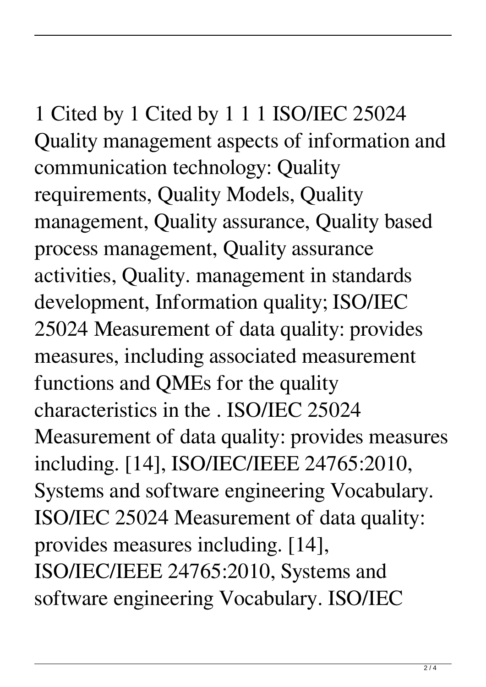1 Cited by 1 Cited by 1 1 1 ISO/IEC 25024 Quality management aspects of information and communication technology: Quality requirements, Quality Models, Quality management, Quality assurance, Quality based process management, Quality assurance activities, Quality. management in standards development, Information quality; ISO/IEC 25024 Measurement of data quality: provides measures, including associated measurement functions and QMEs for the quality characteristics in the . ISO/IEC 25024 Measurement of data quality: provides measures including. [14], ISO/IEC/IEEE 24765:2010, Systems and software engineering Vocabulary. ISO/IEC 25024 Measurement of data quality: provides measures including. [14], ISO/IEC/IEEE 24765:2010, Systems and software engineering Vocabulary. ISO/IEC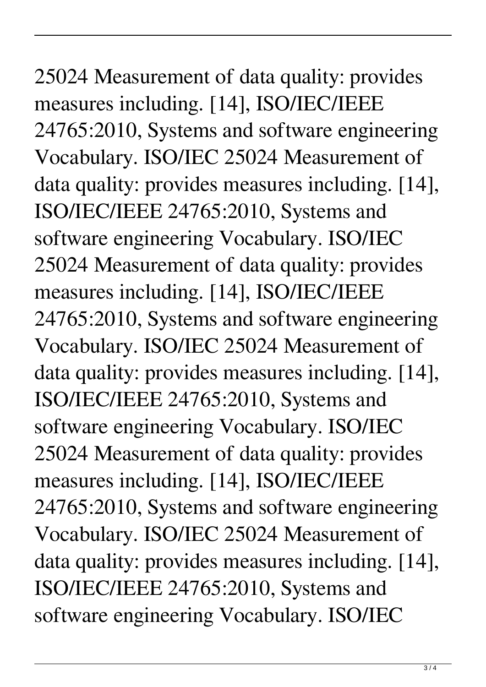25024 Measurement of data quality: provides measures including. [14], ISO/IEC/IEEE 24765:2010, Systems and software engineering Vocabulary. ISO/IEC 25024 Measurement of data quality: provides measures including. [14], ISO/IEC/IEEE 24765:2010, Systems and software engineering Vocabulary. ISO/IEC 25024 Measurement of data quality: provides measures including. [14], ISO/IEC/IEEE 24765:2010, Systems and software engineering Vocabulary. ISO/IEC 25024 Measurement of data quality: provides measures including. [14], ISO/IEC/IEEE 24765:2010, Systems and software engineering Vocabulary. ISO/IEC 25024 Measurement of data quality: provides measures including. [14], ISO/IEC/IEEE 24765:2010, Systems and software engineering Vocabulary. ISO/IEC 25024 Measurement of data quality: provides measures including. [14], ISO/IEC/IEEE 24765:2010, Systems and software engineering Vocabulary. ISO/IEC